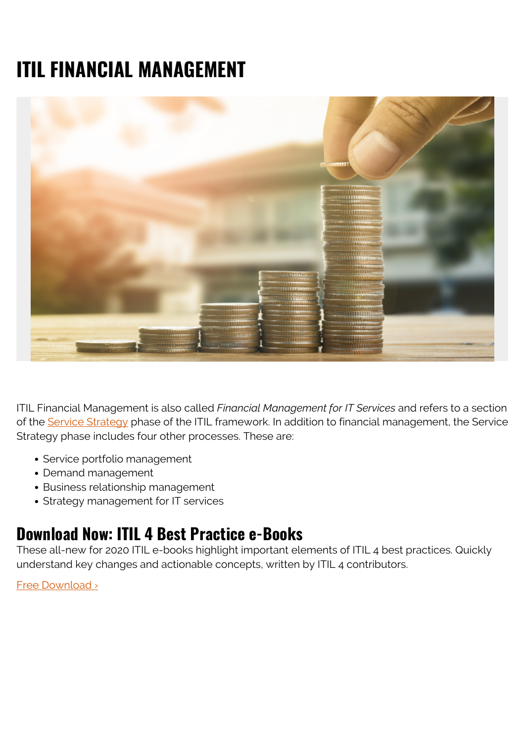# **ITIL FINANCIAL MANAGEMENT**



ITIL Financial Management is also called *Financial Management for IT Services* and refers to a section of the [Service Strategy](https://blogs.bmc.com/blogs/itil-service-strategy/) phase of the ITIL framework. In addition to financial management, the Service Strategy phase includes four other processes. These are:

- Service portfolio management
- Demand management
- Business relationship management
- Strategy management for IT services

#### **Download Now: ITIL 4 Best Practice e-Books**

These all-new for 2020 ITIL e-books highlight important elements of ITIL 4 best practices. Quickly understand key changes and actionable concepts, written by ITIL 4 contributors.

[Free Download ›](https://www.bmc.com/forms/itil-free-ebook.html)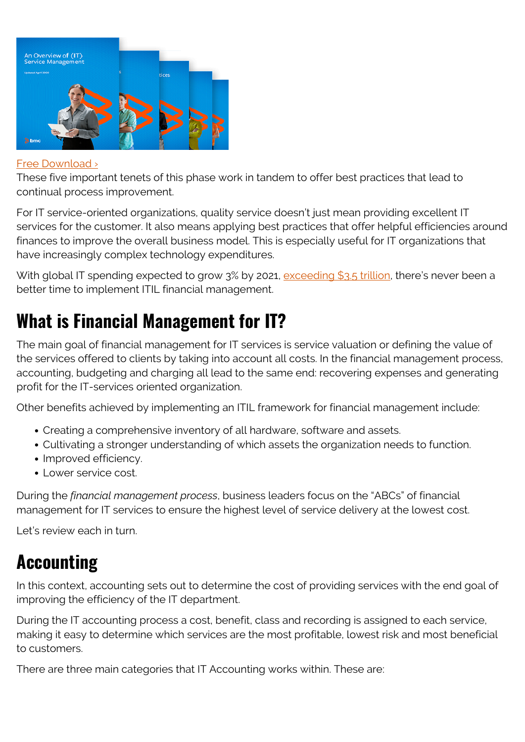

#### [Free Download ›](https://www.bmc.com/forms/itil-free-ebook.html)

These five important tenets of this phase work in tandem to offer best practices that lead to continual process improvement.

For IT service-oriented organizations, quality service doesn't just mean providing excellent IT services for the customer. It also means applying best practices that offer helpful efficiencies around finances to improve the overall business model. This is especially useful for IT organizations that have increasingly complex technology expenditures.

With global IT spending expected to grow 3% by 2021, [exceeding \\$3.5 trillion,](https://www.gartner.com/technology/research/it-spending-forecast/) there's never been a better time to implement ITIL financial management.

# **What is Financial Management for IT?**

The main goal of financial management for IT services is service valuation or defining the value of the services offered to clients by taking into account all costs. In the financial management process, accounting, budgeting and charging all lead to the same end: recovering expenses and generating profit for the IT-services oriented organization.

Other benefits achieved by implementing an ITIL framework for financial management include:

- Creating a comprehensive inventory of all hardware, software and assets.
- Cultivating a stronger understanding of which assets the organization needs to function.
- Improved efficiency.
- Lower service cost.

During the *financial management process*, business leaders focus on the "ABCs" of financial management for IT services to ensure the highest level of service delivery at the lowest cost.

Let's review each in turn.

## **Accounting**

In this context, accounting sets out to determine the cost of providing services with the end goal of improving the efficiency of the IT department.

During the IT accounting process a cost, benefit, class and recording is assigned to each service, making it easy to determine which services are the most profitable, lowest risk and most beneficial to customers.

There are three main categories that IT Accounting works within. These are: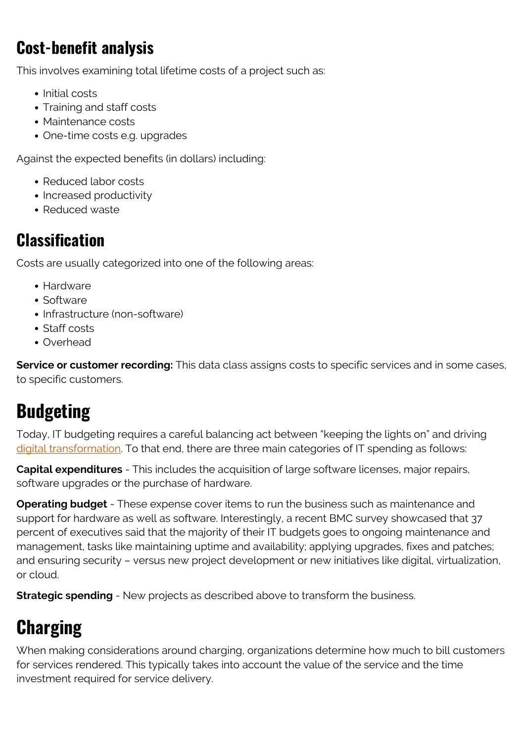## **Cost-benefit analysis**

This involves examining total lifetime costs of a project such as:

- Initial costs
- Training and staff costs
- Maintenance costs
- One-time costs e.g. upgrades

Against the expected benefits (in dollars) including:

- Reduced labor costs
- Increased productivity
- Reduced waste

#### **Classification**

Costs are usually categorized into one of the following areas:

- Hardware
- Software
- Infrastructure (non-software)
- Staff costs
- Overhead

**Service or customer recording:** This data class assigns costs to specific services and in some cases, to specific customers.

## **Budgeting**

Today, IT budgeting requires a careful balancing act between "keeping the lights on" and driving [digital transformation](https://blogs.bmc.com/blogs/what-is-digital-transformation/). To that end, there are three main categories of IT spending as follows:

**Capital expenditures** - This includes the acquisition of large software licenses, major repairs, software upgrades or the purchase of hardware.

**Operating budget** - These expense cover items to run the business such as maintenance and support for hardware as well as software. Interestingly, a recent BMC survey showcased that 37 percent of executives said that the majority of their IT budgets goes to ongoing maintenance and management, tasks like maintaining uptime and availability; applying upgrades, fixes and patches; and ensuring security – versus new project development or new initiatives like digital, virtualization, or cloud.

**Strategic spending** - New projects as described above to transform the business.

# **Charging**

When making considerations around charging, organizations determine how much to bill customers for services rendered. This typically takes into account the value of the service and the time investment required for service delivery.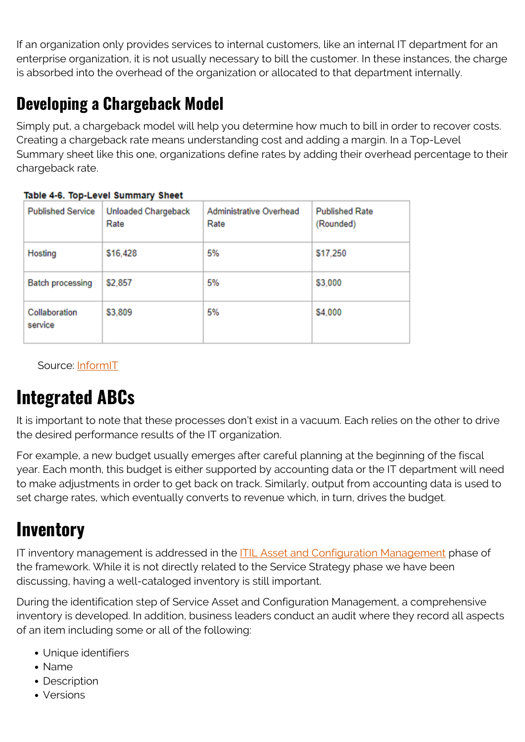If an organization only provides services to internal customers, like an internal IT department for an enterprise organization, it is not usually necessary to bill the customer. In these instances, the charge is absorbed into the overhead of the organization or allocated to that department internally.

### **Developing a Chargeback Model**

Simply put, a chargeback model will help you determine how much to bill in order to recover costs. Creating a chargeback rate means understanding cost and adding a margin. In a Top-Level Summary sheet like this one, organizations define rates by adding their overhead percentage to their chargeback rate.

| <b>Published Service</b> | <b>Unloaded Chargeback</b><br>Rate | Administrative Overhead<br>Rate | <b>Published Rate</b><br>(Rounded) |
|--------------------------|------------------------------------|---------------------------------|------------------------------------|
| Hosting                  | \$16,428                           | 5%                              | \$17,250                           |
| <b>Batch processing</b>  | \$2,857                            | 5%                              | \$3,000                            |
| Collaboration<br>service | \$3,809                            | 5%                              | \$4,000                            |

#### Table 4-6, Top-Level Summary Sheet

Source: [InformIT](http://www.informit.com/articles/article.aspx?p=1397671&seqNum=6)

# **Integrated ABCs**

It is important to note that these processes don't exist in a vacuum. Each relies on the other to drive the desired performance results of the IT organization.

For example, a new budget usually emerges after careful planning at the beginning of the fiscal year. Each month, this budget is either supported by accounting data or the IT department will need to make adjustments in order to get back on track. Similarly, output from accounting data is used to set charge rates, which eventually converts to revenue which, in turn, drives the budget.

### **Inventory**

IT inventory management is addressed in the **ITIL Asset and Configuration Management** phase of the framework. While it is not directly related to the Service Strategy phase we have been discussing, having a well-cataloged inventory is still important.

During the identification step of Service Asset and Configuration Management, a comprehensive inventory is developed. In addition, business leaders conduct an audit where they record all aspects of an item including some or all of the following:

- Unique identifiers
- Name
- Description
- Versions